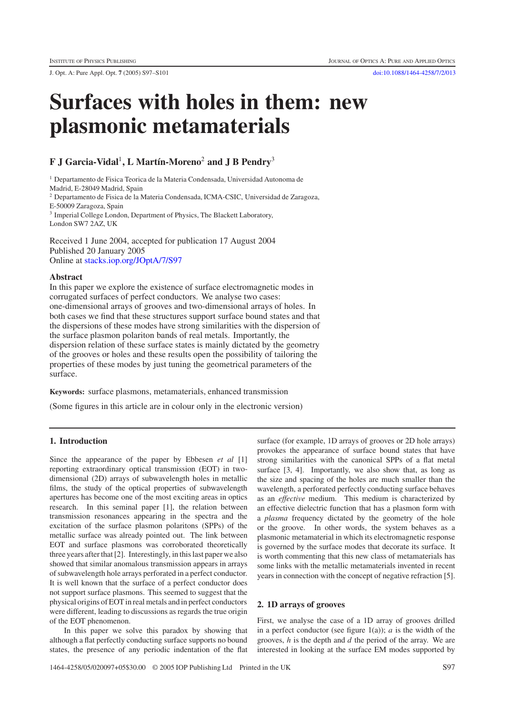J. Opt. A: Pure Appl. Opt. **7** (2005) S97–S101 [doi:10.1088/1464-4258/7/2/013](http://dx.doi.org/10.1088/1464-4258/7/2/013)

# **Surfaces with holes in them: new plasmonic metamaterials**

# **F J Garcia-Vidal**<sup>1</sup>**, L Mart´ın-Moreno**<sup>2</sup> **and J B Pendry**<sup>3</sup>

<sup>1</sup> Departamento de Fisica Teorica de la Materia Condensada, Universidad Autonoma de

Madrid, E-28049 Madrid, Spain

<sup>2</sup> Departamento de Fisica de la Materia Condensada, ICMA-CSIC, Universidad de Zaragoza,

E-50009 Zaragoza, Spain

<sup>3</sup> Imperial College London, Department of Physics, The Blackett Laboratory, London SW7 2AZ, UK

Received 1 June 2004, accepted for publication 17 August 2004 Published 20 January 2005 Online at [stacks.iop.org/JOptA/7/S97](http://stacks.iop.org/JOptA/7/S97)

#### **Abstract**

In this paper we explore the existence of surface electromagnetic modes in corrugated surfaces of perfect conductors. We analyse two cases: one-dimensional arrays of grooves and two-dimensional arrays of holes. In both cases we find that these structures support surface bound states and that the dispersions of these modes have strong similarities with the dispersion of the surface plasmon polariton bands of real metals. Importantly, the dispersion relation of these surface states is mainly dictated by the geometry of the grooves or holes and these results open the possibility of tailoring the properties of these modes by just tuning the geometrical parameters of the surface.

**Keywords:** surface plasmons, metamaterials, enhanced transmission

(Some figures in this article are in colour only in the electronic version)

# **1. Introduction**

Since the appearance of the paper by Ebbesen *et al* [1] reporting extraordinary optical transmission (EOT) in twodimensional (2D) arrays of subwavelength holes in metallic films, the study of the optical properties of subwavelength apertures has become one of the most exciting areas in optics research. In this seminal paper [1], the relation between transmission resonances appearing in the spectra and the excitation of the surface plasmon polaritons (SPPs) of the metallic surface was already pointed out. The link between EOT and surface plasmons was corroborated theoretically three years after that [2]. Interestingly, in this last paper we also showed that similar anomalous transmission appears in arrays of subwavelength hole arrays perforated in a perfect conductor. It is well known that the surface of a perfect conductor does not support surface plasmons. This seemed to suggest that the physical origins of EOT in real metals and in perfect conductors were different, leading to discussions as regards the true origin of the EOT phenomenon.

In this paper we solve this paradox by showing that although a flat perfectly conducting surface supports no bound states, the presence of any periodic indentation of the flat

surface (for example, 1D arrays of grooves or 2D hole arrays) provokes the appearance of surface bound states that have strong similarities with the canonical SPPs of a flat metal surface [3, 4]. Importantly, we also show that, as long as the size and spacing of the holes are much smaller than the wavelength, a perforated perfectly conducting surface behaves as an *effective* medium. This medium is characterized by an effective dielectric function that has a plasmon form with a *plasma* frequency dictated by the geometry of the hole or the groove. In other words, the system behaves as a plasmonic metamaterial in which its electromagnetic response is governed by the surface modes that decorate its surface. It is worth commenting that this new class of metamaterials has some links with the metallic metamaterials invented in recent years in connection with the concept of negative refraction [5].

# **2. 1D arrays of grooves**

First, we analyse the case of a 1D array of grooves drilled in a perfect conductor (see figure  $1(a)$ ); *a* is the width of the grooves, *h* is the depth and *d* the period of the array. We are interested in looking at the surface EM modes supported by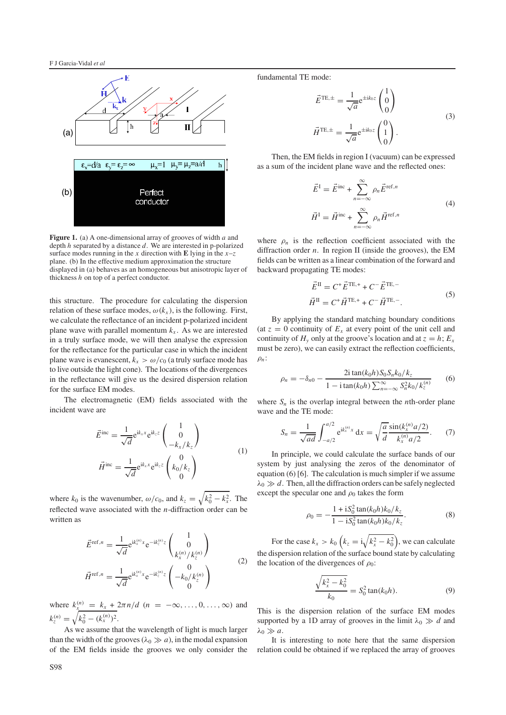

**Figure 1.** (a) A one-dimensional array of grooves of width *a* and depth *h* separated by a distance *d*. We are interested in p-polarized surface modes running in the *x* direction with **E** lying in the  $x-z$ plane. (b) In the effective medium approximation the structure displayed in (a) behaves as an homogeneous but anisotropic layer of thickness *h* on top of a perfect conductor.

this structure. The procedure for calculating the dispersion relation of these surface modes,  $\omega(k_x)$ , is the following. First, we calculate the reflectance of an incident p-polarized incident plane wave with parallel momentum  $k_x$ . As we are interested in a truly surface mode, we will then analyse the expression for the reflectance for the particular case in which the incident plane wave is evanescent,  $k_x > \omega/c_0$  (a truly surface mode has to live outside the light cone). The locations of the divergences in the reflectance will give us the desired dispersion relation for the surface EM modes.

The electromagnetic (EM) fields associated with the incident wave are

$$
\vec{E}^{\text{inc}} = \frac{1}{\sqrt{d}} e^{ik_x x} e^{ik_z z} \begin{pmatrix} 1 \\ 0 \\ -k_x / k_z \end{pmatrix}
$$
\n
$$
\vec{H}^{\text{inc}} = \frac{1}{\sqrt{d}} e^{ik_x x} e^{ik_z z} \begin{pmatrix} 0 \\ k_0 / k_z \\ 0 \end{pmatrix}
$$
\n(1)

where  $k_0$  is the wavenumber,  $\omega/c_0$ , and  $k_z = \sqrt{k_0^2 - k_x^2}$ . The reflected wave associated with the *n*-diffraction order can be written as

$$
\vec{E}^{\text{ref},n} = \frac{1}{\sqrt{d}} e^{ik_x^{(n)}x} e^{-ik_z^{(n)}z} \begin{pmatrix} 1 \\ 0 \\ k_x^{(n)}/k_z^{(n)} \end{pmatrix}
$$
\n
$$
\vec{H}^{\text{ref},n} = \frac{1}{\sqrt{d}} e^{ik_x^{(n)}x} e^{-ik_z^{(n)}z} \begin{pmatrix} 0 \\ -k_0/k_z^{(n)} \\ 0 \end{pmatrix}
$$
\n(2)

where  $k_x^{(n)} = k_x + 2\pi n/d$  ( $n = -\infty, ..., 0, ..., \infty$ ) and  $k_z^{(n)} = \sqrt{k_0^2 - (k_x^{(n)})^2}.$ 

As we assume that the wavelength of light is much larger than the width of the grooves  $(\lambda_0 \gg a)$ , in the modal expansion of the EM fields inside the grooves we only consider the

fundamental TE mode:

$$
\vec{E}^{\text{TE},\pm} = \frac{1}{\sqrt{a}} e^{\pm ik_0 z} \begin{pmatrix} 1 \\ 0 \\ 0 \end{pmatrix}
$$

$$
\vec{H}^{\text{TE},\pm} = \frac{1}{\sqrt{a}} e^{\pm ik_0 z} \begin{pmatrix} 0 \\ 1 \\ 0 \end{pmatrix}.
$$
(3)

Then, the EM fields in region I (vacuum) can be expressed as a sum of the incident plane wave and the reflected ones:

$$
\vec{E}^{\text{I}} = \vec{E}^{\text{inc}} + \sum_{n=-\infty}^{\infty} \rho_n \vec{E}^{\text{ref},n}
$$
  
(4)  

$$
\vec{H}^{\text{I}} = \vec{H}^{\text{inc}} + \sum_{n=-\infty}^{\infty} \rho_n \vec{H}^{\text{ref},n}
$$

where  $\rho_n$  is the reflection coefficient associated with the diffraction order *n*. In region II (inside the grooves), the EM fields can be written as a linear combination of the forward and backward propagating TE modes:

$$
\vec{E}^{\text{II}} = C^{+} \vec{E}^{\text{TE},+} + C^{-} \vec{E}^{\text{TE},-}
$$
  
\n
$$
\vec{H}^{\text{II}} = C^{+} \vec{H}^{\text{TE},+} + C^{-} \vec{H}^{\text{TE},-}.
$$
\n(5)

By applying the standard matching boundary conditions (at  $z = 0$  continuity of  $E_x$  at every point of the unit cell and continuity of  $H_v$  only at the groove's location and at  $z = h$ ;  $E_x$ must be zero), we can easily extract the reflection coefficients, ρ*n*:

$$
\rho_n = -\delta_{n0} - \frac{2i \tan(k_0 h) S_0 S_n k_0 / k_z}{1 - i \tan(k_0 h) \sum_{n=-\infty}^{\infty} S_n^2 k_0 / k_z^{(n)}} \tag{6}
$$

where  $S_n$  is the overlap integral between the *n*th-order plane wave and the TE mode:

$$
S_n = \frac{1}{\sqrt{ad}} \int_{-a/2}^{a/2} e^{ik_x^{(n)}x} dx = \sqrt{\frac{a}{d}} \frac{\sin(k_x^{(n)} a/2)}{k_x^{(n)} a/2}.
$$
 (7)

In principle, we could calculate the surface bands of our system by just analysing the zeros of the denominator of equation (6) [6]. The calculation is much simpler if we assume  $\lambda_0 \gg d$ . Then, all the diffraction orders can be safely neglected except the specular one and  $\rho_0$  takes the form

$$
\rho_0 = -\frac{1 + iS_0^2 \tan(k_0 h) k_0 / k_z}{1 - iS_0^2 \tan(k_0 h) k_0 / k_z}.
$$
\n(8)

For the case  $k_x > k_0 \left(k_z = i\sqrt{k_x^2 - k_0^2}\right)$ , we can calculate the dispersion relation of the surface bound state by calculating the location of the divergences of  $\rho_0$ :

$$
\frac{\sqrt{k_x^2 - k_0^2}}{k_0} = S_0^2 \tan(k_0 h). \tag{9}
$$

This is the dispersion relation of the surface EM modes supported by a 1D array of grooves in the limit  $\lambda_0 \gg d$  and  $\lambda_0 \gg a$ .

It is interesting to note here that the same dispersion relation could be obtained if we replaced the array of grooves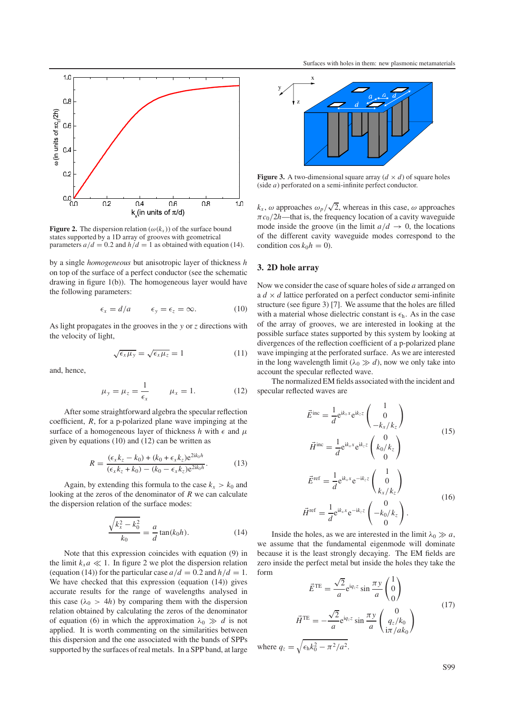

**Figure 2.** The dispersion relation ( $\omega(k_r)$ ) of the surface bound states supported by a 1D array of grooves with geometrical parameters  $a/d = 0.2$  and  $h/d = 1$  as obtained with equation (14).

by a single *homogeneous* but anisotropic layer of thickness *h* on top of the surface of a perfect conductor (see the schematic drawing in figure 1(b)). The homogeneous layer would have the following parameters:

$$
\epsilon_x = d/a \qquad \epsilon_y = \epsilon_z = \infty. \tag{10}
$$

As light propagates in the grooves in the *y* or *z* directions with the velocity of light,

$$
\sqrt{\epsilon_x \mu_y} = \sqrt{\epsilon_x \mu_z} = 1 \tag{11}
$$

and, hence,

$$
\mu_y = \mu_z = \frac{1}{\epsilon_x} \qquad \mu_x = 1. \tag{12}
$$

After some straightforward algebra the specular reflection coefficient, *R*, for a p-polarized plane wave impinging at the surface of a homogeneous layer of thickness *h* with  $\epsilon$  and  $\mu$ given by equations (10) and (12) can be written as

$$
R = \frac{(\epsilon_x k_z - k_0) + (k_0 + \epsilon_x k_z) e^{2ik_0 h}}{(\epsilon_x k_z + k_0) - (k_0 - \epsilon_x k_z) e^{2ik_0 h}}.
$$
(13)

Again, by extending this formula to the case  $k_x > k_0$  and looking at the zeros of the denominator of *R* we can calculate the dispersion relation of the surface modes:

$$
\frac{\sqrt{k_x^2 - k_0^2}}{k_0} = \frac{a}{d} \tan(k_0 h). \tag{14}
$$

Note that this expression coincides with equation (9) in the limit  $k_x a \ll 1$ . In figure 2 we plot the dispersion relation (equation (14)) for the particular case  $a/d = 0.2$  and  $h/d = 1$ . We have checked that this expression (equation (14)) gives accurate results for the range of wavelengths analysed in this case  $(\lambda_0 > 4h)$  by comparing them with the dispersion relation obtained by calculating the zeros of the denominator of equation (6) in which the approximation  $\lambda_0 \gg d$  is not applied. It is worth commenting on the similarities between this dispersion and the one associated with the bands of SPPs supported by the surfaces of real metals. In a SPP band, at large



**Figure 3.** A two-dimensional square array  $(d \times d)$  of square holes (side *a*) perforated on a semi-infinite perfect conductor.

 $k_x$ ,  $\omega$  approaches  $\omega_p/\sqrt{2}$ , whereas in this case,  $\omega$  approaches  $\pi c_0/2h$ —that is, the frequency location of a cavity waveguide mode inside the groove (in the limit  $a/d \rightarrow 0$ , the locations of the different cavity waveguide modes correspond to the condition  $\cos k_0 h = 0$ ).

#### **3. 2D hole array**

Now we consider the case of square holes of side *a* arranged on a  $d \times d$  lattice perforated on a perfect conductor semi-infinite structure (see figure 3) [7]. We assume that the holes are filled with a material whose dielectric constant is  $\epsilon_h$ . As in the case of the array of grooves, we are interested in looking at the possible surface states supported by this system by looking at divergences of the reflection coefficient of a p-polarized plane wave impinging at the perforated surface. As we are interested in the long wavelength limit ( $\lambda_0 \gg d$ ), now we only take into account the specular reflected wave.

The normalized EM fields associated with the incident and specular reflected waves are

$$
\vec{E}^{\text{inc}} = \frac{1}{d} e^{ik_x x} e^{ik_z z} \begin{pmatrix} 1 \\ 0 \\ -k_x / k_z \end{pmatrix}
$$
\n
$$
\vec{H}^{\text{inc}} = \frac{1}{d} e^{ik_x x} e^{ik_z z} \begin{pmatrix} 0 \\ k_0 / k_z \\ 0 \end{pmatrix}
$$
\n
$$
\vec{E}^{\text{ref}} = \frac{1}{d} e^{ik_x x} e^{-ik_z z} \begin{pmatrix} 1 \\ 0 \\ k_x / k_z \end{pmatrix}
$$
\n
$$
\vec{H}^{\text{ref}} = \frac{1}{d} e^{ik_x x} e^{-ik_z z} \begin{pmatrix} 0 \\ -k_0 / k_z \\ 0 \end{pmatrix}.
$$
\n(16)

Inside the holes, as we are interested in the limit  $\lambda_0 \gg a$ , we assume that the fundamental eigenmode will dominate because it is the least strongly decaying. The EM fields are zero inside the perfect metal but inside the holes they take the form

$$
\vec{E}^{\text{TE}} = \frac{\sqrt{2}}{a} e^{iq_z z} \sin \frac{\pi y}{a} \begin{pmatrix} 1 \\ 0 \\ 0 \end{pmatrix}
$$

$$
\vec{H}^{\text{TE}} = -\frac{\sqrt{2}}{a} e^{iq_z z} \sin \frac{\pi y}{a} \begin{pmatrix} 0 \\ q_z / k_0 \\ i\pi / a k_0 \end{pmatrix}
$$
(17)

where  $q_z = \sqrt{\epsilon_h k_0^2 - \pi^2/a^2}$ .

S99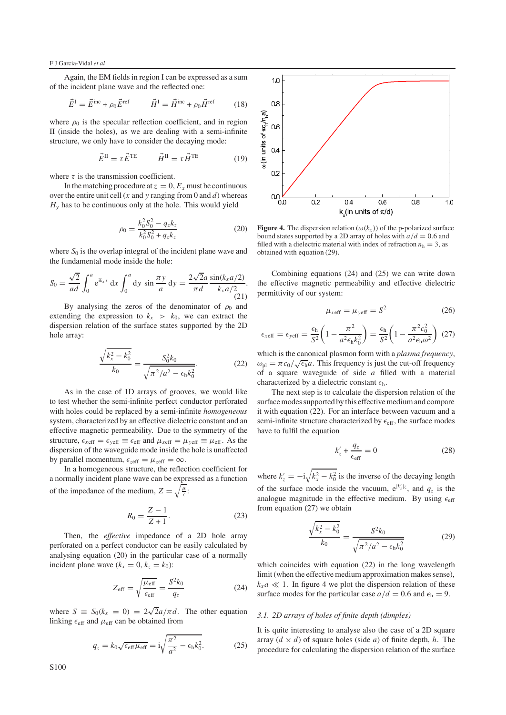Again, the EM fields in region I can be expressed as a sum of the incident plane wave and the reflected one:

$$
\vec{E}^{\text{I}} = \vec{E}^{\text{inc}} + \rho_0 \vec{E}^{\text{ref}} \qquad \vec{H}^{\text{I}} = \vec{H}^{\text{inc}} + \rho_0 \vec{H}^{\text{ref}} \qquad (18)
$$

where  $\rho_0$  is the specular reflection coefficient, and in region II (inside the holes), as we are dealing with a semi-infinite structure, we only have to consider the decaying mode:

$$
\vec{E}^{\rm II} = \tau \vec{E}^{\rm TE} \qquad \vec{H}^{\rm II} = \tau \vec{H}^{\rm TE} \tag{19}
$$

where  $\tau$  is the transmission coefficient.

In the matching procedure at  $z = 0$ ,  $E_x$  must be continuous over the entire unit cell (*x* and *y* ranging from 0 and *d*) whereas  $H<sub>v</sub>$  has to be continuous only at the hole. This would yield

$$
\rho_0 = \frac{k_0^2 S_0^2 - q_z k_z}{k_0^2 S_0^2 + q_z k_z} \tag{20}
$$

where  $S_0$  is the overlap integral of the incident plane wave and the fundamental mode inside the hole:

$$
S_0 = \frac{\sqrt{2}}{ad} \int_0^a e^{ik_x x} dx \int_0^a dy \sin \frac{\pi y}{a} dy = \frac{2\sqrt{2}a}{\pi d} \frac{\sin(k_x a/2)}{k_x a/2}.
$$
\n(21)

By analysing the zeros of the denominator of  $\rho_0$  and extending the expression to  $k_x > k_0$ , we can extract the dispersion relation of the surface states supported by the 2D hole array:

$$
\frac{\sqrt{k_x^2 - k_0^2}}{k_0} = \frac{S_0^2 k_0}{\sqrt{\pi^2/a^2 - \epsilon_h k_0^2}}.
$$
 (22)

As in the case of 1D arrays of grooves, we would like to test whether the semi-infinite perfect conductor perforated with holes could be replaced by a semi-infinite *homogeneous* system, characterized by an effective dielectric constant and an effective magnetic permeability. Due to the symmetry of the structure,  $\epsilon_{\text{reff}} = \epsilon_{\text{veff}} \equiv \epsilon_{\text{eff}}$  and  $\mu_{\text{xeff}} = \mu_{\text{veff}} \equiv \mu_{\text{eff}}$ . As the dispersion of the waveguide mode inside the hole is unaffected by parallel momentum,  $\epsilon_{\text{zeff}} = \mu_{\text{zeff}} = \infty$ .

In a homogeneous structure, the reflection coefficient for a normally incident plane wave can be expressed as a function of the impedance of the medium,  $Z = \sqrt{\frac{\mu}{\epsilon}}$ :

$$
R_0 = \frac{Z - 1}{Z + 1}.\tag{23}
$$

Then, the *effective* impedance of a 2D hole array perforated on a perfect conductor can be easily calculated by analysing equation (20) in the particular case of a normally incident plane wave  $(k_x = 0, k_z = k_0)$ :

$$
Z_{\rm eff} = \sqrt{\frac{\mu_{\rm eff}}{\epsilon_{\rm eff}}} = \frac{S^2 k_0}{q_z} \tag{24}
$$

where  $S = S_0(k_x = 0) = 2\sqrt{2}a/\pi d$ . The other equation linking  $\epsilon_{\text{eff}}$  and  $\mu_{\text{eff}}$  can be obtained from

$$
q_z = k_0 \sqrt{\epsilon_{\text{eff}} \mu_{\text{eff}}} = i \sqrt{\frac{\pi^2}{a^2} - \epsilon_{\text{h}} k_0^2}.
$$
 (25)



**Figure 4.** The dispersion relation ( $\omega(k_x)$ ) of the p-polarized surface bound states supported by a 2D array of holes with  $a/d = 0.6$  and filled with a dielectric material with index of refraction  $n<sub>h</sub> = 3$ , as obtained with equation (29).

Combining equations (24) and (25) we can write down the effective magnetic permeability and effective dielectric permittivity of our system:

$$
\mu_{x \text{eff}} = \mu_{y \text{eff}} = S^2 \tag{26}
$$

$$
\epsilon_{\text{xeff}} = \epsilon_{\text{yeff}} = \frac{\epsilon_{\text{h}}}{S^2} \left( 1 - \frac{\pi^2}{a^2 \epsilon_{\text{h}} k_0^2} \right) = \frac{\epsilon_{\text{h}}}{S^2} \left( 1 - \frac{\pi^2 c_0^2}{a^2 \epsilon_{\text{h}} \omega^2} \right) (27)
$$

which is the canonical plasmon form with a *plasma frequency*,  $\omega_{\text{pl}} = \pi c_0 / \sqrt{\epsilon_{\text{h}}} a$ . This frequency is just the cut-off frequency of a square waveguide of side *a* filled with a material characterized by a dielectric constant  $\epsilon_h$ .

The next step is to calculate the dispersion relation of the surface modes supported by this effective medium and compare it with equation (22). For an interface between vacuum and a semi-infinite structure characterized by  $\epsilon_{\text{eff}}$ , the surface modes have to fulfil the equation

$$
k'_z + \frac{q_z}{\epsilon_{\text{eff}}} = 0 \tag{28}
$$

where  $k'_z = -i\sqrt{k_x^2 - k_0^2}$  is the inverse of the decaying length of the surface mode inside the vacuum,  $e^{|k'_z|z}$ , and  $q_z$  is the analogue magnitude in the effective medium. By using  $\epsilon_{\text{eff}}$ from equation (27) we obtain

$$
\frac{\sqrt{k_x^2 - k_0^2}}{k_0} = \frac{S^2 k_0}{\sqrt{\pi^2/a^2 - \epsilon_h k_0^2}}
$$
(29)

which coincides with equation (22) in the long wavelength limit (when the effective medium approximation makes sense),  $k_x a \ll 1$ . In figure 4 we plot the dispersion relation of these surface modes for the particular case  $a/d = 0.6$  and  $\epsilon_h = 9$ .

#### *3.1. 2D arrays of holes of finite depth (dimples)*

It is quite interesting to analyse also the case of a 2D square array  $(d \times d)$  of square holes (side *a*) of finite depth, *h*. The procedure for calculating the dispersion relation of the surface

S100